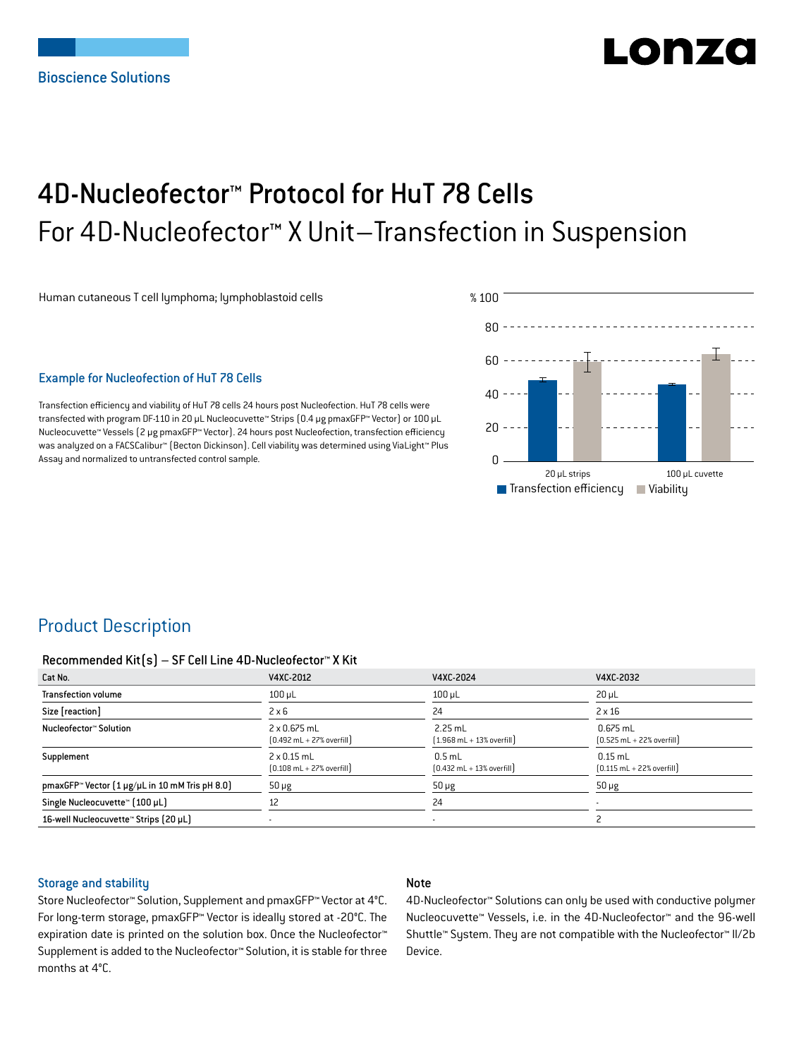# LIO N74

## 4D-Nucleofector™ Protocol for HuT 78 Cells For 4D-Nucleofector™ X Unit–Transfection in Suspension

Human cutaneous T cell lymphoma; lymphoblastoid cells

## Example for Nucleofection of HuT 78 Cells

Transfection efficiency and viability of HuT 78 cells 24 hours post Nucleofection. HuT 78 cells were transfected with program DF-110 in 20 µL Nucleocuvette™ Strips (0.4 μg pmaxGFP™ Vector) or 100 µL Nucleocuvette™ Vessels (2 μg pmaxGFP™ Vector). 24 hours post Nucleofection, transfection efficiency was analyzed on a FACSCalibur™ (Becton Dickinson). Cell viability was determined using ViaLight™ Plus Assay and normalized to untransfected control sample.



## Product Description

#### Recommended Kit(s) – SF Cell Line 4D-Nucleofector™ X Kit

| Cat No.                                                    | V4XC-2012                                                           | V4XC-2024                                                 | V4XC-2032                                                  |
|------------------------------------------------------------|---------------------------------------------------------------------|-----------------------------------------------------------|------------------------------------------------------------|
| <b>Transfection volume</b>                                 | $100$ $\mu$ L                                                       | $100$ $\mu$ L                                             | $20 \mu L$                                                 |
| Size [reaction]                                            | $2 \times 6$                                                        | 24                                                        | $2 \times 16$                                              |
| Nucleofector™ Solution                                     | $2 \times 0.675$ mL<br>$[0.492 \text{ mL} + 27\% \text{ overfill}]$ | $2.25$ mL<br>$[1.968 \text{ mL} + 13\% \text{ overfill}]$ | $0.675$ mL<br>$[0.525 \text{ mL} + 22\% \text{ overfill}]$ |
| Supplement                                                 | $2 \times 0.15$ mL<br>$[0.108 \text{ mL} + 27\% \text{ overfill}]$  | $0.5$ mL<br>$[0.432 \text{ mL} + 13\% \text{ overfill}]$  | $0.15$ mL<br>$[0.115 \text{ mL} + 22\% \text{ overfill}]$  |
| pmaxGFP <sup>™</sup> Vector (1 µg/µL in 10 mM Tris pH 8.0) | $50 \mu g$                                                          | $50 \mu g$                                                | $50 \mu g$                                                 |
| Single Nucleocuvette™ [100 µL]                             | 12                                                                  | 24                                                        |                                                            |
| 16-well Nucleocuvette™ Strips (20 µL)                      |                                                                     | $\overline{\phantom{a}}$                                  |                                                            |

#### Storage and stability

## Note

Store Nucleofector™ Solution, Supplement and pmaxGFP™ Vector at 4°C. For long-term storage, pmaxGFP™ Vector is ideally stored at -20°C. The expiration date is printed on the solution box. Once the Nucleofector™ Supplement is added to the Nucleofector™ Solution, it is stable for three months at 4°C.

4D-Nucleofector™ Solutions can only be used with conductive polymer Nucleocuvette™ Vessels, i.e. in the 4D-Nucleofector™ and the 96-well Shuttle™ System. They are not compatible with the Nucleofector™ II/2b Device.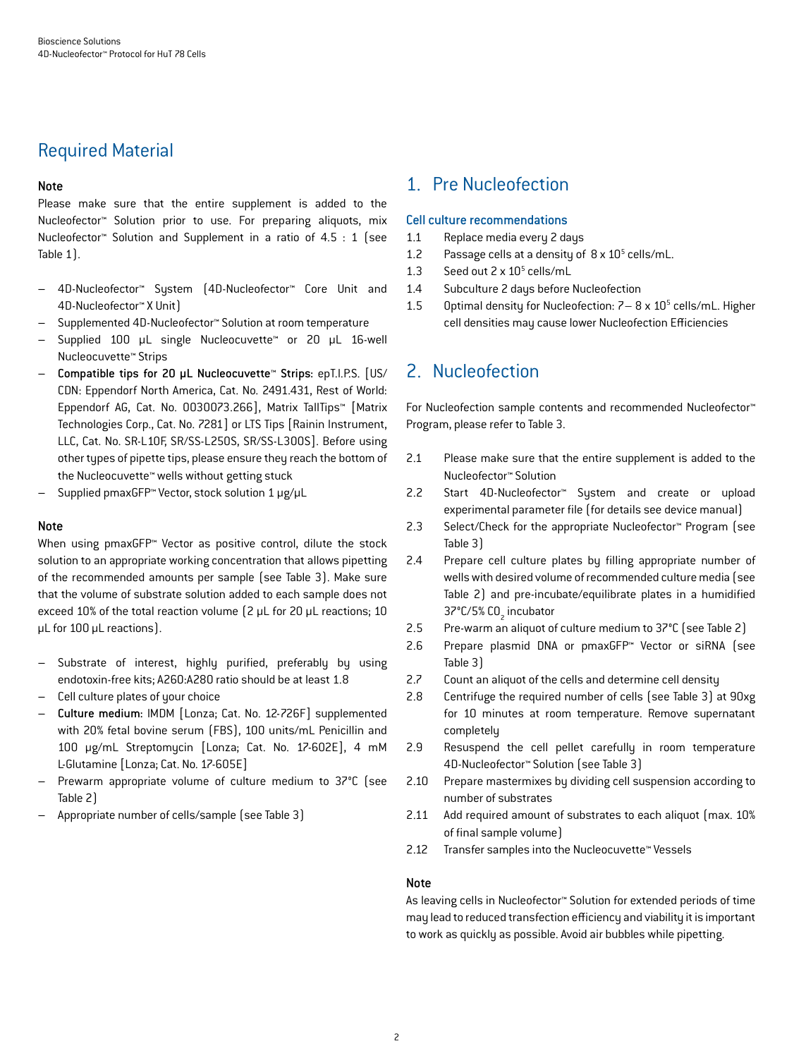## Required Material

## Note

Please make sure that the entire supplement is added to the Nucleofector™ Solution prior to use. For preparing aliquots, mix Nucleofector™ Solution and Supplement in a ratio of 4.5 : 1 (see Table 1).

- 4D-Nucleofector™ System (4D-Nucleofector™ Core Unit and 4D-Nucleofector™ X Unit)
- Supplemented 4D-Nucleofector™ Solution at room temperature
- Supplied 100 µL single Nucleocuvette™ or 20 µL 16-well Nucleocuvette™ Strips
- Compatible tips for 20 µL Nucleocuvette™ Strips: epT.I.P.S. [US/ CDN: Eppendorf North America, Cat. No. 2491.431, Rest of World: Eppendorf AG, Cat. No. 0030073.266], Matrix TallTips™ [Matrix Technologies Corp., Cat. No. 7281] or LTS Tips [Rainin Instrument, LLC, Cat. No. SR-L10F, SR/SS-L250S, SR/SS-L300S]. Before using other types of pipette tips, please ensure they reach the bottom of the Nucleocuvette™ wells without getting stuck
- Supplied pmaxGFP™ Vector, stock solution 1 μg/µL

#### Note

When using pmaxGFP™ Vector as positive control, dilute the stock solution to an appropriate working concentration that allows pipetting of the recommended amounts per sample (see Table 3). Make sure that the volume of substrate solution added to each sample does not exceed 10% of the total reaction volume (2 µL for 20 µL reactions; 10 µL for 100 µL reactions).

- Substrate of interest, highly purified, preferably by using endotoxin-free kits; A260:A280 ratio should be at least 1.8
- Cell culture plates of your choice
- Culture medium: IMDM [Lonza; Cat. No. 12-726F] supplemented with 20% fetal bovine serum (FBS), 100 units/mL Penicillin and 100 µg/mL Streptomycin [Lonza; Cat. No. 17-602E], 4 mM L-Glutamine [Lonza; Cat. No. 17-605E]
- Prewarm appropriate volume of culture medium to 37°C (see Table 2)
- Appropriate number of cells/sample (see Table 3)

## 1. Pre Nucleofection

#### Cell culture recommendations

- 1.1 Replace media every 2 days
- 1.2 Passage cells at a density of  $8 \times 10^5$  cells/mL.
- 1.3 Seed out  $2 \times 10^5$  cells/mL
- 1.4 Subculture 2 days before Nucleofection
- 1.5 Optimal density for Nucleofection:  $7 8 \times 10^5$  cells/mL. Higher cell densities may cause lower Nucleofection Efficiencies

## 2. Nucleofection

For Nucleofection sample contents and recommended Nucleofector™ Program, please refer to Table 3.

- 2.1 Please make sure that the entire supplement is added to the Nucleofector™ Solution
- 2.2 Start 4D-Nucleofector™ System and create or upload experimental parameter file (for details see device manual)
- 2.3 Select/Check for the appropriate Nucleofector™ Program (see Table 3)
- 2.4 Prepare cell culture plates by filling appropriate number of wells with desired volume of recommended culture media (see Table 2) and pre-incubate/equilibrate plates in a humidified 37°C/5% CO<sub>2</sub> incubator
- 2.5 Pre-warm an aliquot of culture medium to 37°C (see Table 2)
- 2.6 Prepare plasmid DNA or pmaxGFP™ Vector or siRNA (see Table 3)
- 2.7 Count an aliquot of the cells and determine cell density
- 2.8 Centrifuge the required number of cells (see Table 3) at 90xg for 10 minutes at room temperature. Remove supernatant completely
- 2.9 Resuspend the cell pellet carefully in room temperature 4D-Nucleofector™ Solution (see Table 3)
- 2.10 Prepare mastermixes by dividing cell suspension according to number of substrates
- 2.11 Add required amount of substrates to each aliquot (max. 10% of final sample volume)
- 2.12 Transfer samples into the Nucleocuvette™ Vessels

#### Note

As leaving cells in Nucleofector™ Solution for extended periods of time may lead to reduced transfection efficiency and viability it is important to work as quickly as possible. Avoid air bubbles while pipetting.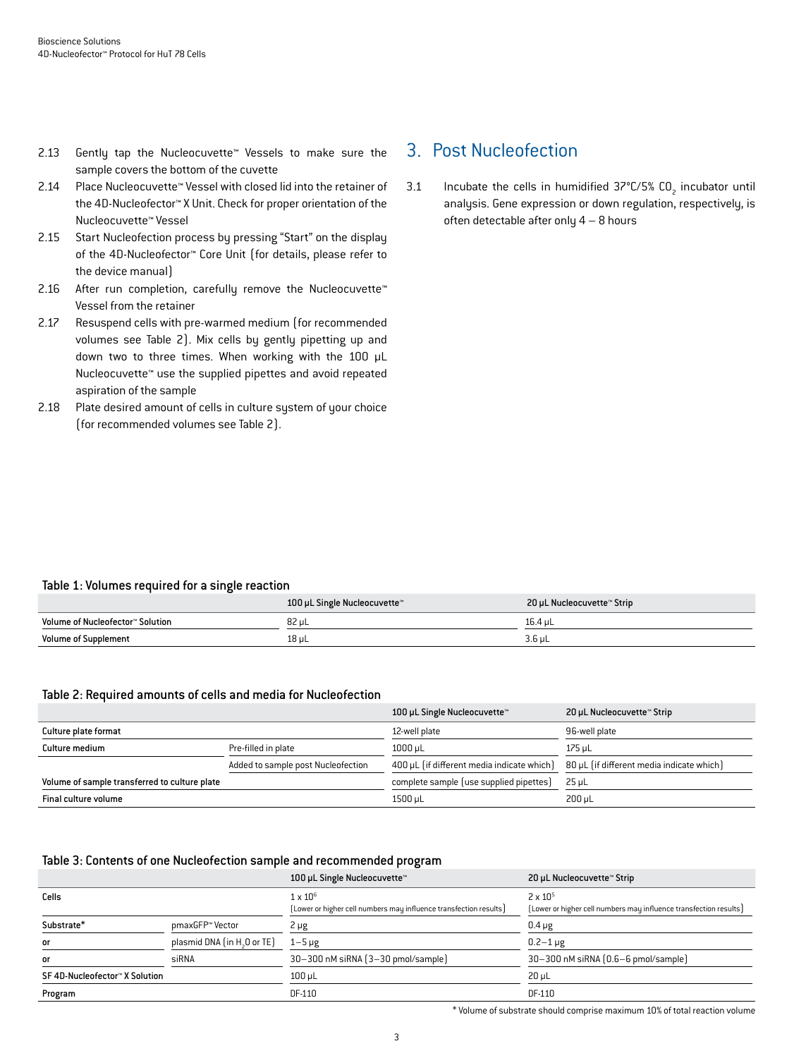- 2.13 Gently tap the Nucleocuvette™ Vessels to make sure the sample covers the bottom of the cuvette
- 2.14 Place Nucleocuvette™ Vessel with closed lid into the retainer of the 4D-Nucleofector™ X Unit. Check for proper orientation of the Nucleocuvette™ Vessel
- 2.15 Start Nucleofection process by pressing "Start" on the display of the 4D-Nucleofector™ Core Unit (for details, please refer to the device manual)
- 2.16 After run completion, carefully remove the Nucleocuvette™ Vessel from the retainer
- 2.17 Resuspend cells with pre-warmed medium (for recommended volumes see Table 2). Mix cells by gently pipetting up and down two to three times. When working with the 100 µL Nucleocuvette™ use the supplied pipettes and avoid repeated aspiration of the sample
- 2.18 Plate desired amount of cells in culture system of your choice (for recommended volumes see Table 2).

## 3. Post Nucleofection

3.1 Incubate the cells in humidified  $37^{\circ}$ C/5% CO<sub>2</sub> incubator until analysis. Gene expression or down regulation, respectively, is often detectable after only 4 – 8 hours

## Table 1: Volumes required for a single reaction

|                                  | 100 µL Single Nucleocuvette™ | 20 µL Nucleocuvette™ Strip |
|----------------------------------|------------------------------|----------------------------|
| Volume of Nucleofector™ Solution | 82 µL                        | 16.4 uL                    |
| <b>Volume of Supplement</b>      | $18$ µL                      | $3.6$ µL                   |

## Table 2: Required amounts of cells and media for Nucleofection

|                                               |                                    | 100 µL Single Nucleocuvette™               | 20 µL Nucleocuvette™ Strip                |
|-----------------------------------------------|------------------------------------|--------------------------------------------|-------------------------------------------|
| Culture plate format                          |                                    | 12-well plate                              | 96-well plate                             |
| Culture medium                                | Pre-filled in plate                | 1000 uL                                    | 175 uL                                    |
|                                               | Added to sample post Nucleofection | 400 µL (if different media indicate which) | 80 µL (if different media indicate which) |
| Volume of sample transferred to culture plate |                                    | complete sample (use supplied pipettes)    | 25 uL                                     |
| Final culture volume                          |                                    | 1500 µL                                    | $200 \mu L$                               |

## Table 3: Contents of one Nucleofection sample and recommended program

|                                |                                         | 100 µL Single Nucleocuvette™                                                         | 20 µL Nucleocuvette™ Strip                                                             |
|--------------------------------|-----------------------------------------|--------------------------------------------------------------------------------------|----------------------------------------------------------------------------------------|
| Cells                          |                                         | $1 \times 10^6$<br>[Lower or higher cell numbers may influence transfection results] | $2 \times 10^{5}$<br>[Lower or higher cell numbers may influence transfection results] |
| Substrate*                     | pmaxGFP™ Vector                         | 2 µg                                                                                 | $0.4 \mu g$                                                                            |
| or                             | plasmid DNA (in H <sub>3</sub> O or TE) | $1-5 \mu g$                                                                          | $0.2 - 1 \,\mu$ g                                                                      |
| or                             | siRNA                                   | 30-300 nM siRNA (3-30 pmol/sample)                                                   | 30-300 nM siRNA (0.6-6 pmol/sample)                                                    |
| SF 4D-Nucleofector™ X Solution |                                         | 100 uL                                                                               | $20 \mu L$                                                                             |
| Program                        |                                         | DF-110                                                                               | DF-110                                                                                 |

\* Volume of substrate should comprise maximum 10% of total reaction volume